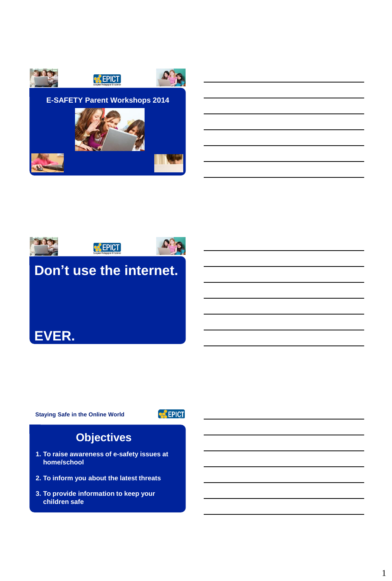



**Staying Safe in the Online World**

**EPICT** 

# **Objectives**

- **1. To raise awareness of e-safety issues at home/school**
- **2. To inform you about the latest threats**
- **3. To provide information to keep your children safe**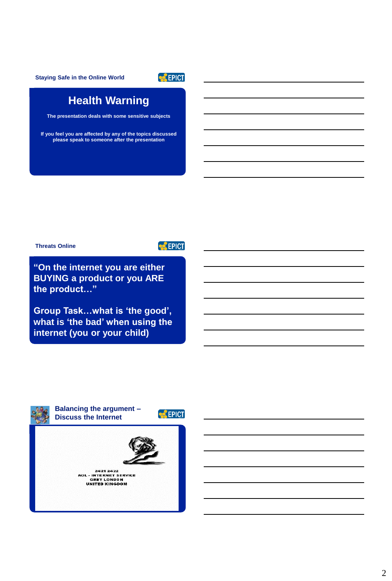**Staying Safe in the Online World**



## **Health Warning**

**The presentation deals with some sensitive subjects**

**If you feel you are affected by any of the topics discussed please speak to someone after the presentation**

**Threats Online** 

**EPICT** 

**"On the internet you are either BUYING a product or you ARE the product…"**

**Group Task…what is 'the good', what is 'the bad' when using the internet (you or your child)**

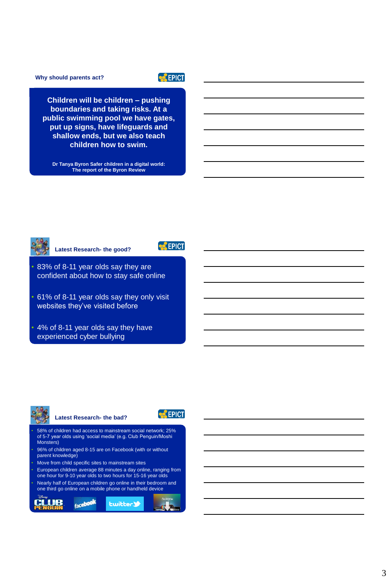**Why should parents act?**

## **EPICT**

**Children will be children – pushing boundaries and taking risks. At a public swimming pool we have gates, put up signs, have lifeguards and shallow ends, but we also teach children how to swim.**

**Dr Tanya Byron Safer children in a digital world: The report of the Byron Review** 



**Latest Research- the good?**

**CEPICT** 

• 83% of 8-11 year olds say they are confident about how to stay safe online

• 61% of 8-11 year olds say they only visit websites they've visited before

• 4% of 8-11 year olds say they have experienced cyber bullying

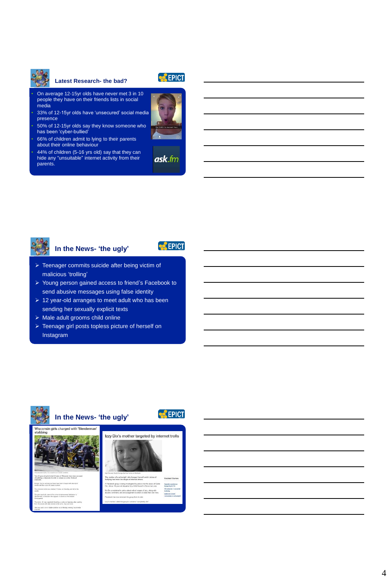

#### **Latest Research- the bad?**



• On average 12-15yr olds have never met 3 in 10 people they have on their friends lists in social media

• 33% of 12-15yr olds have 'unsecured' social media presence

• 50% of 12-15yr olds say they know someone who has been 'cyber-bullied'

• 66% of children admit to lying to their parents about their online behaviour

• 44% of children (5-16 yrs old) say that they can hide any "unsuitable" internet activity from their parents.





## **In the News- 'the ugly'**



- > Teenager commits suicide after being victim of malicious 'trolling'
- Young person gained access to friend's Facebook to send abusive messages using false identity
- $\geq 12$  year-old arranges to meet adult who has been sending her sexually explicit texts
- $\triangleright$  Male adult grooms child online
- > Teenage girl posts topless picture of herself on Instagram

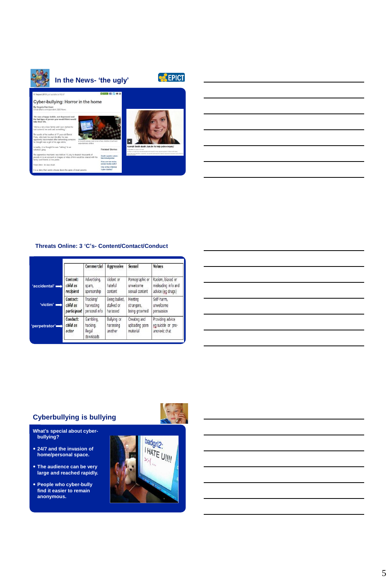

## **Threats Online: 3 'C's- Content/Contact/Conduct**

|               |                               | Commercial                                   | Aggressive                                 | Sexual                                     | Values                                                  |
|---------------|-------------------------------|----------------------------------------------|--------------------------------------------|--------------------------------------------|---------------------------------------------------------|
| 'accidental'  | Content:                      | Advertising,                                 | Violent or                                 | Pornographic or                            | Racism, biased or                                       |
|               | child as                      | spam,                                        | hateful                                    | unwelcome                                  | misleading info and                                     |
|               | recipient                     | sponsorship                                  | content                                    | sexual content                             | advice (eg drugs)                                       |
| $'$ victim'   | Contact:                      | Tracking/                                    | Being bullied,                             | Meeting                                    | Self-harm.                                              |
|               | child as                      | harvesting                                   | stalked or                                 | strangers,                                 | unwelcome                                               |
|               | participant                   | personal info                                | harassed                                   | being groomed                              | persuasion                                              |
| 'perpetrator' | Conduct:<br>child as<br>actor | Gambling,<br>hacking,<br>llegal<br>downloads | <b>Bullying or</b><br>harassing<br>another | Creating and<br>uploading porn<br>material | Providing advice<br>eg suicide or pro-<br>anorexic chat |

## **Cyberbullying is bullying**

**What's special about cyber-bullying?**

- **24/7 and the invasion of home/personal space.**
- **The audience can be very large and reached rapidly.**
- **People who cyber-bully find it easier to remain anonymous.**



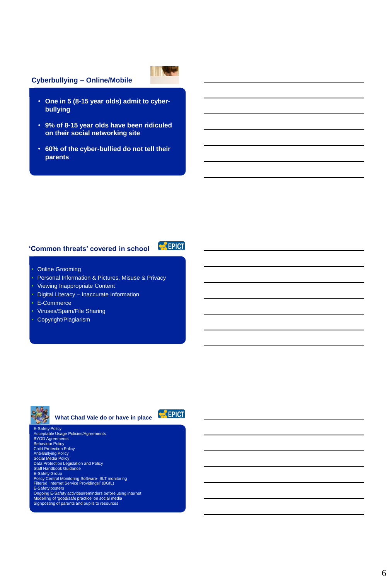## **Cyberbullying – Online/Mobile**

- **One in 5 (8-15 year olds) admit to cyberbullying**
- **9% of 8-15 year olds have been ridiculed on their social networking site**
- **60% of the cyber-bullied do not tell their parents**

## **'Common threats' covered in school**

**EPICT** 

- **Online Grooming**
- Personal Information & Pictures, Misuse & Privacy
- Viewing Inappropriate Content
- Digital Literacy Inaccurate Information
- E-Commerce
- Viruses/Spam/File Sharing
- Copyright/Plagiarism



**What Chad Vale do or have in place**



E-Safety Policy Acceptable Usage Policies/Agreements BYOD Agreements Behaviour Policy Child Protection Policy Anti-Bullying Policy Social Media Policy Data Protection Legislation and Policy Staff Handbook Guidance E-Safety Group<br>Policy Central Monitoring Software- SLT monitoring<br>Filtered 1nternet Service Providings!' (BGfL)<br>E-Safety posters<br>Modelling of 'good/safe practice' on social media<br>Modelling of garents and pupils to resource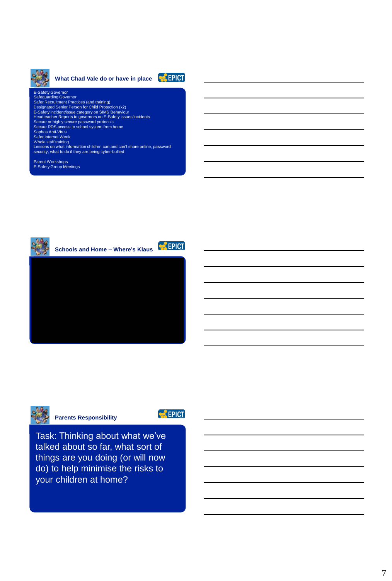

## What Chad Vale do or have in place **CALICITY**



E-Safety Governor<br>Safeguarding Governor<br>Safer Recruitment Practices (and training)<br>Designated Senior Person for Child Protection (x2)<br>E-Safety incidentl/sase category on SIMS Behaviour<br>Headteacher Reports to governors on E Parent Workshops E-Safety Group Meetings





**Parents Responsibility**

**EPICT** 

Task: Thinking about what we've talked about so far, what sort of things are you doing (or will now do) to help minimise the risks to your children at home?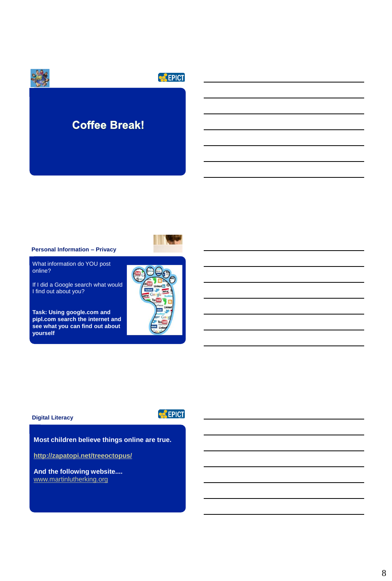

#### **Personal Information – Privacy**

What information do YOU post online?

If I did a Google search what would I find out about you?

**Task: Using google.com and pipl.com search the internet and see what you can find out about yourself** 



## **Digital Literacy**

**EPICT** 

**Most children believe things online are true.** 

**<http://zapatopi.net/treeoctopus/>**

**And the following website....**  [www.martinlutherking.org](http://www.martinlutherking.org/)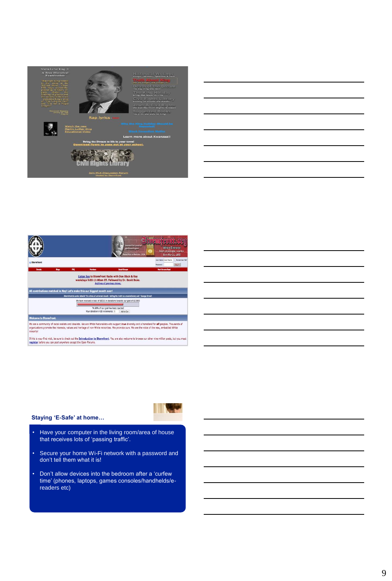

| <u> 1989 - Johann Stoff, deutscher Stoffen und der Stoffen und der Stoffen und der Stoffen und der Stoffen und de</u> |  |  |
|-----------------------------------------------------------------------------------------------------------------------|--|--|
|                                                                                                                       |  |  |
|                                                                                                                       |  |  |
|                                                                                                                       |  |  |
|                                                                                                                       |  |  |
|                                                                                                                       |  |  |





### **Staying 'E-Safe' at home…**

- Have your computer in the living room/area of house that receives lots of 'passing traffic'.
- Secure your home Wi-Fi network with a password and don't tell them what it is!
- Don't allow devices into the bedroom after a 'curfew time' (phones, laptops, games consoles/handhelds/ereaders etc)